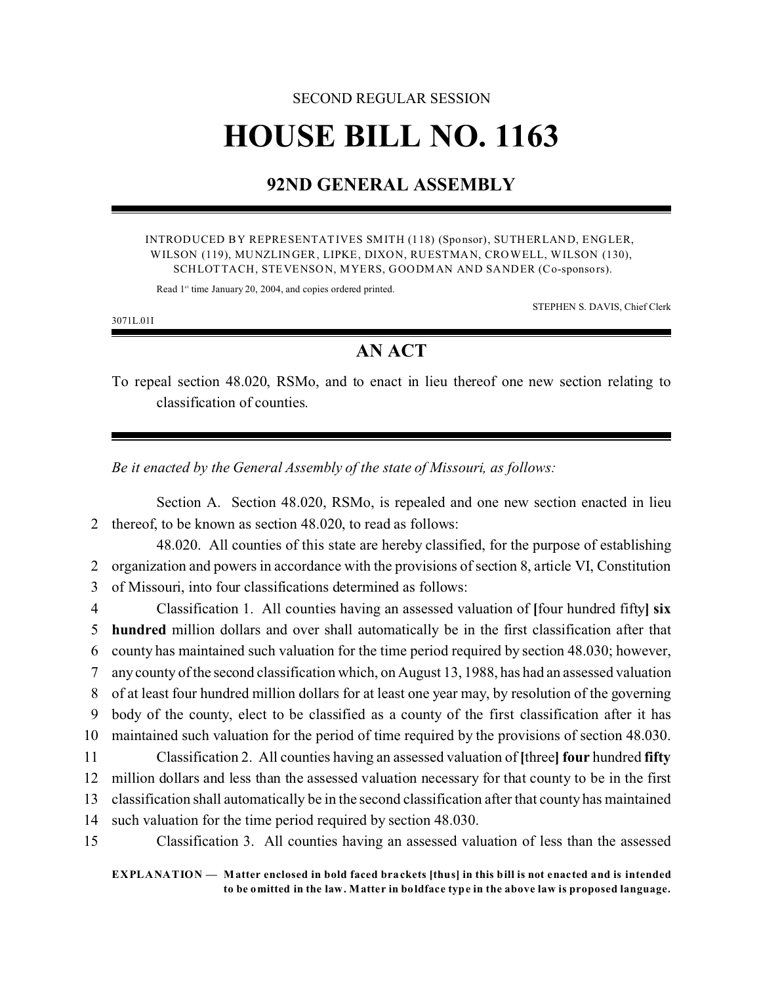## SECOND REGULAR SESSION **HOUSE BILL NO. 1163**

## **92ND GENERAL ASSEMBLY**

INTRODUCED BY REPRESENTATIVES SMITH (118) (Sponsor), SUTHERLAND, ENGLER, WILSON (119), MUNZLINGER, LIPKE, DIXON, RUESTMAN, CROWELL, WILSON (130), SCHLOTTACH, STEVENSON, MYERS, GOODMAN AND SANDER (Co-sponsors).

Read 1<sup>st</sup> time January 20, 2004, and copies ordered printed.

STEPHEN S. DAVIS, Chief Clerk

3071L.01I

## **AN ACT**

To repeal section 48.020, RSMo, and to enact in lieu thereof one new section relating to classification of counties.

*Be it enacted by the General Assembly of the state of Missouri, as follows:*

Section A. Section 48.020, RSMo, is repealed and one new section enacted in lieu 2 thereof, to be known as section 48.020, to read as follows:

48.020. All counties of this state are hereby classified, for the purpose of establishing 2 organization and powers in accordance with the provisions of section 8, article VI, Constitution 3 of Missouri, into four classifications determined as follows:

 Classification 1. All counties having an assessed valuation of **[**four hundred fifty**] six hundred** million dollars and over shall automatically be in the first classification after that county has maintained such valuation for the time period required by section 48.030; however, any county of the second classification which, on August 13, 1988, has had an assessed valuation of at least four hundred million dollars for at least one year may, by resolution of the governing body of the county, elect to be classified as a county of the first classification after it has maintained such valuation for the period of time required by the provisions of section 48.030. Classification 2. All counties having an assessed valuation of **[**three**] four** hundred **fifty** million dollars and less than the assessed valuation necessary for that county to be in the first

13 classification shall automatically be in the second classification after that county has maintained

14 such valuation for the time period required by section 48.030.

15 Classification 3. All counties having an assessed valuation of less than the assessed

**EXPLANATION — Matter enclosed in bold faced brackets [thus] in this bill is not enacted and is intended to be omitted in the law. Matter in boldface type in the above law is proposed language.**